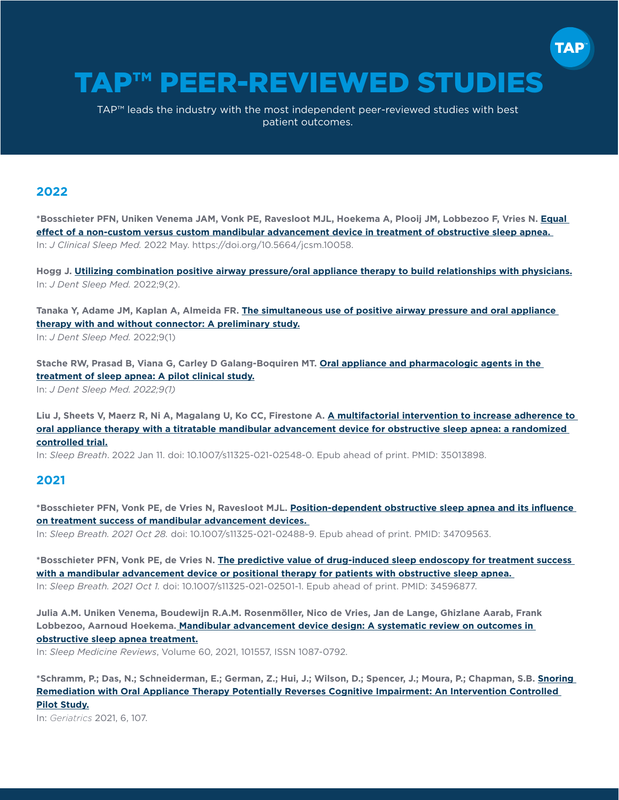# TAP™ PEER-REVIEWED STUDIES

TAP™ leads the industry with the most independent peer-reviewed studies with best patient outcomes.

#### **2022**

**\*Bosschieter PFN, Uniken Venema JAM, Vonk PE, Ravesloot MJL, Hoekema A, Plooij JM, Lobbezoo F, Vries N. [Equal](https://tapintosleep.com/wp-content/uploads/2022/06/Equal-effect-of-a-non-custom-versus-a-custom-mandibular-JCSM-May-2022-Bosschieter.pdf)  [effect of a non-custom versus custom mandibular advancement device in treatment of obstructive sleep apnea.](https://tapintosleep.com/wp-content/uploads/2022/06/Equal-effect-of-a-non-custom-versus-a-custom-mandibular-JCSM-May-2022-Bosschieter.pdf)**  In: *J Clinical Sleep Med.* 2022 May. https://doi.org/10.5664/jcsm.10058.

**Hogg J. [Utilizing combination positive airway pressure/oral appliance therapy to build relationships with physicians.](https://aadsm.org/journal/sleep_team_perspectives_1_iss.php)** In: *J Dent Sleep Med.* 2022;9(2).

**Tanaka Y, Adame JM, Kaplan A, Almeida FR. [The simultaneous use of positive airway pressure and oral appliance](https://www.aadsm.org/docs/jdsm.1.10.2022.o2.pdf)  [therapy with and without connector: A preliminary study.](https://www.aadsm.org/docs/jdsm.1.10.2022.o2.pdf)** In: *J Dent Sleep Med.* 2022;9(1)

**Stache RW, Prasad B, Viana G, Carley D Galang-Boquiren MT. [Oral appliance and pharmacologic agents in the](https://aadsm.org/journal/original_article_1_issue_91.php)  [treatment of sleep apnea: A pilot clinical study.](https://aadsm.org/journal/original_article_1_issue_91.php)** In: *J Dent Sleep Med. 2022;9(1)*

**Liu J, Sheets V, Maerz R, Ni A, Magalang U, Ko CC, Firestone A. [A multifactorial intervention to increase adherence to](https://link.springer.com/article/10.1007/s11325-021-02548-0)  [oral appliance therapy with a titratable mandibular advancement device for obstructive sleep apnea: a randomized](https://link.springer.com/article/10.1007/s11325-021-02548-0)  [controlled trial.](https://link.springer.com/article/10.1007/s11325-021-02548-0)**

In: *Sleep Breath*. 2022 Jan 11. doi: 10.1007/s11325-021-02548-0. Epub ahead of print. PMID: 35013898.

#### **2021**

**\*Bosschieter PFN, Vonk PE, de Vries N, Ravesloot MJL. [Position-dependent obstructive sleep apnea and its influence](https://pubmed.ncbi.nlm.nih.gov/34709563/)  [on treatment success of mandibular advancement devices.](https://pubmed.ncbi.nlm.nih.gov/34709563/)** 

In: *Sleep Breath. 2021 Oct 28.* doi: 10.1007/s11325-021-02488-9. Epub ahead of print. PMID: 34709563.

**\*Bosschieter PFN, Vonk PE, de Vries N. [The predictive value of drug-induced sleep endoscopy for treatment success](https://pubmed.ncbi.nlm.nih.gov/34596877/)  [with a mandibular advancement device or positional therapy for patients with obstructive sleep apnea.](https://pubmed.ncbi.nlm.nih.gov/34596877/)**  In: *Sleep Breath. 2021 Oct 1.* doi: 10.1007/s11325-021-02501-1. Epub ahead of print. PMID: 34596877.

**Julia A.M. Uniken Venema, Boudewijn R.A.M. Rosenmöller, Nico de Vries, Jan de Lange, Ghizlane Aarab, Frank Lobbezoo, Aarnoud Hoekema. [Mandibular advancement device design: A systematic review on outcomes in](https://www.sciencedirect.com/science/article/pii/S1087079221001428?via%3Dihub)  [obstructive sleep apnea treatment.](https://www.sciencedirect.com/science/article/pii/S1087079221001428?via%3Dihub)**

In: *Sleep Medicine Reviews*, Volume 60, 2021, 101557, ISSN 1087-0792.

**\*Schramm, P.; Das, N.; Schneiderman, E.; German, Z.; Hui, J.; Wilson, D.; Spencer, J.; Moura, P.; Chapman, S.B. [Snoring](https://tapintosleep.com/wp-content/uploads/2021/11/Snoring-remediatin-in-MCI-AD-Geriatrics-06-00107-11-01-21.pdf)  [Remediation with Oral Appliance Therapy Potentially Reverses Cognitive Impairment: An Intervention Controlled](https://tapintosleep.com/wp-content/uploads/2021/11/Snoring-remediatin-in-MCI-AD-Geriatrics-06-00107-11-01-21.pdf)  [Pilot Study.](https://tapintosleep.com/wp-content/uploads/2021/11/Snoring-remediatin-in-MCI-AD-Geriatrics-06-00107-11-01-21.pdf)**

In: *Geriatrics* 2021, 6, 107.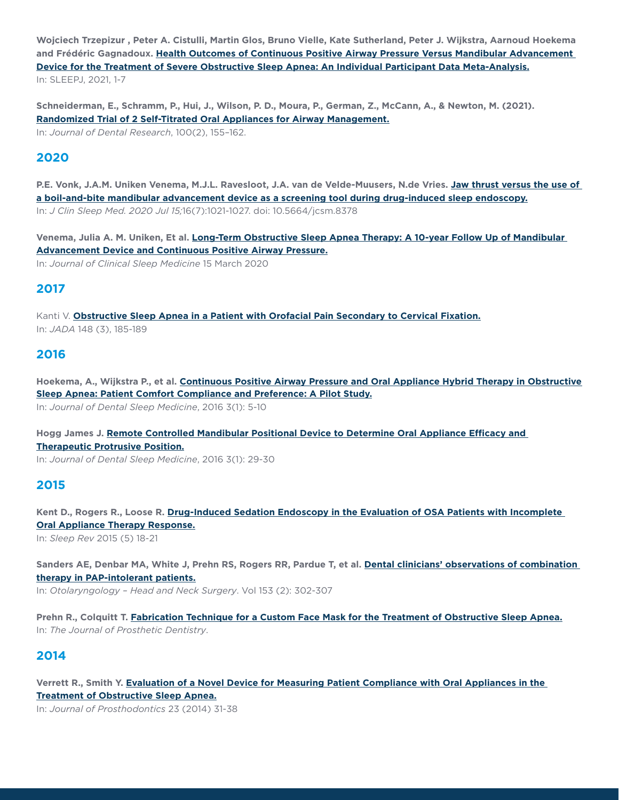**Wojciech Trzepizur , Peter A. Cistulli, Martin Glos, Bruno Vielle, Kate Sutherland, Peter J. Wijkstra, Aarnoud Hoekema and Frédéric Gagnadoux. [Health Outcomes of Continuous Positive Airway Pressure Versus Mandibular Advancement](https://tapintosleep.com/wp-content/uploads/2021/03/Health-outcomes-of-continuous-positive-airway-pressure-versus.pdf)  [Device for the Treatment of Severe Obstructive Sleep Apnea: An Individual Participant Data Meta-Analysis.](https://tapintosleep.com/wp-content/uploads/2021/03/Health-outcomes-of-continuous-positive-airway-pressure-versus.pdf)** In: SLEEPJ, 2021, 1-7

**Schneiderman, E., Schramm, P., Hui, J., Wilson, P. D., Moura, P., German, Z., McCann, A., & Newton, M. (2021). [Randomized Trial of 2 Self-Titrated Oral Appliances for Airway Management.](https://tapintosleep.com/wp-content/uploads/2021/03/OARCT-in-JDR-print-version-1-21-21.pdf)** In: *Journal of Dental Research*, 100(2), 155–162.

### **2020**

**P.E. Vonk, J.A.M. Uniken Venema, M.J.L. Ravesloot, J.A. van de Velde-Muusers, N.de Vries. [Jaw thrust versus the use of](https://jcsm.aasm.org/doi/full/10.5664/jcsm.8378)  [a boil-and-bite mandibular advancement device as a screening tool during drug-induced sleep endoscopy.](https://jcsm.aasm.org/doi/full/10.5664/jcsm.8378)** In: *J Clin Sleep Med. 2020 Jul 15;*16(7):1021-1027. doi: 10.5664/jcsm.8378

**Venema, Julia A. M. Uniken, Et al. [Long-Term Obstructive Sleep Apnea Therapy: A 10-year Follow Up of Mandibular](https://jcsm.aasm.org/doi/abs/10.5664/jcsm.8204)  [Advancement Device and Continuous Positive Airway Pressure.](https://jcsm.aasm.org/doi/abs/10.5664/jcsm.8204)** In: *Journal of Clinical Sleep Medicine* 15 March 2020

# **2017**

Kanti V. **[Obstructive Sleep Apnea in a Patient with Orofacial Pain Secondary to Cervical Fixation.](http://tapintosleep.com/wp-content/uploads/2017/03/Kanti-2017-JADA-OSA-Oralfacial-pain-cervical-fixation.pdf)** In: *JADA* 148 (3), 185-189

#### **2016**

**2015**

**Hoekema, A., Wijkstra P., et al. [Continuous Positive Airway Pressure and Oral Appliance Hybrid Therapy in Obstructive](http://tapintosleep.com/wp-content/uploads/2017/02/2016-Hoekema-Hybrid-Therapy.pdf)  [Sleep Apnea: Patient Comfort Compliance and Preference: A Pilot Study.](http://tapintosleep.com/wp-content/uploads/2017/02/2016-Hoekema-Hybrid-Therapy.pdf)** In: *Journal of Dental Sleep Medicine*, 2016 3(1): 5-10

**Hogg James J. [Remote Controlled Mandibular Positional Device to Determine Oral Appliance Efficacy and](http://tapintosleep.com/wp-content/uploads/2017/02/2016-Hogg-Remote-Controlled-Mandibular-Positional-Device-to-determine-OA-Efficacy.pdf)  [Therapeutic Protrusive Position.](http://tapintosleep.com/wp-content/uploads/2017/02/2016-Hogg-Remote-Controlled-Mandibular-Positional-Device-to-determine-OA-Efficacy.pdf)** In: *Journal of Dental Sleep Medicine*, 2016 3(1): 29-30

**Kent D., Rogers R., Loose R. [Drug-Induced Sedation Endoscopy in the Evaluation of OSA Patients with Incomplete](http://tapintosleep.com/wp-content/uploads/2017/02/2016-Drug-Induced-Sedation-Endoscopy-in-the-Evaluation-of-OSA-Patients-with-Incomplete-Oral-Appliance-Therapy-Response.pdf)  [Oral Appliance Therapy Response.](http://tapintosleep.com/wp-content/uploads/2017/02/2016-Drug-Induced-Sedation-Endoscopy-in-the-Evaluation-of-OSA-Patients-with-Incomplete-Oral-Appliance-Therapy-Response.pdf)** In: *Sleep Rev* 2015 (5) 18-21

**Sanders AE, Denbar MA, White J, Prehn RS, Rogers RR, Pardue T, et al. [Dental clinicians' observations of combination](http://tapintosleep.com/wp-content/uploads/2017/02/2015-Dental-Clinicians-observations-of-combination-therapy-in-PAP-Intolerant-Patients-.pdf)  [therapy in PAP-intolerant patients.](http://tapintosleep.com/wp-content/uploads/2017/02/2015-Dental-Clinicians-observations-of-combination-therapy-in-PAP-Intolerant-Patients-.pdf)** In: *Otolaryngology – Head and Neck Surgery*. Vol 153 (2): 302-307

**Prehn R., Colquitt T. [Fabrication Technique for a Custom Face Mask for the Treatment of Obstructive Sleep Apnea.](http://tapintosleep.com/wp-content/uploads/2016/03/2015-PREHN-JPD-2016-online-face-impr.pdf)**

In: *The Journal of Prosthetic Dentistry*.

# **2014**

**Verrett R., Smith Y. [Evaluation of a Novel Device for Measuring Patient Compliance with Oral Appliances in the](http://tapintosleep.com/wp-content/uploads/2016/03/2014-eval-of-novel-device-on-measuring-compliance-of-OAS.pdf)  [Treatment of Obstructive Sleep Apnea.](http://tapintosleep.com/wp-content/uploads/2016/03/2014-eval-of-novel-device-on-measuring-compliance-of-OAS.pdf)** In: *Journal of Prosthodontics* 23 (2014) 31-38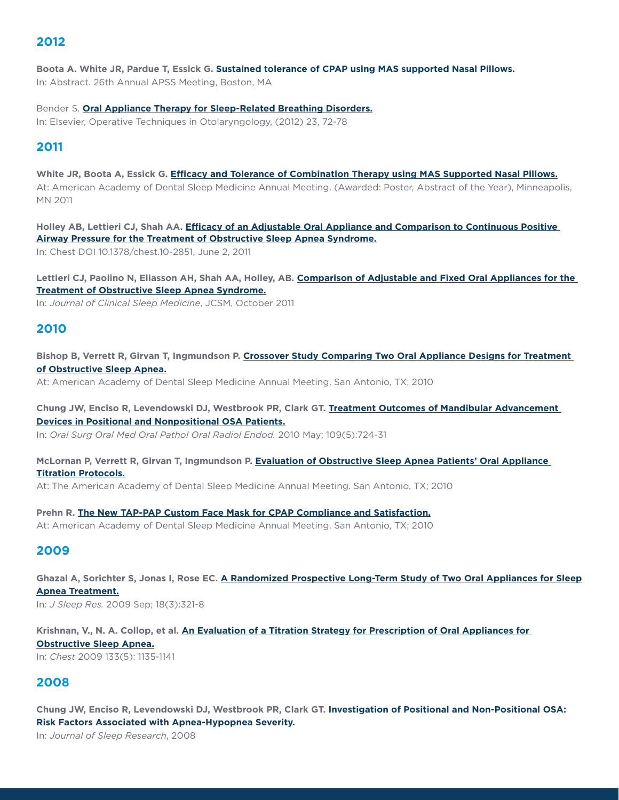#### **2012**

**Boota A. White JR, Pardue T, Essick G. Sustained tolerance of CPAP using MAS supported Nasal Pillows.**  In: Abstract. 26th Annual APSS Meeting, Boston, MA

Bender S. **[Oral Appliance Therapy for Sleep-Related Breathing Disorders.](http://tapintosleep.com/wp-content/uploads/2016/03/2012-BenderSD-Oral-Appliance-Therapy-for-sleep-related-breathing-disorders.pdf)** In: Elsevier, Operative Techniques in Otolaryngology, (2012) 23, 72-78

## **2011**

**White JR, Boota A, Essick G. [Efficacy and Tolerance of Combination Therapy using MAS Supported Nasal Pillows.](http://tapintosleep.com/wp-content/uploads/2016/03/2011Efficacy-and-Tolerance-of-Combination-Therapy-using-MAS-Supported-Nasal-Pillows-White-JR-Boota-A-Essick-G.pdf)** At: American Academy of Dental Sleep Medicine Annual Meeting. (Awarded: Poster, Abstract of the Year), Minneapolis, MN 2011

**Holley AB, Lettieri CJ, Shah AA. [Efficacy of an Adjustable Oral Appliance and Comparison to Continuous Positive](http://tapintosleep.com/wp-content/uploads/2017/02/2011-Holley-AB-Lettieri-CJ-Shah-AA-Efficacy-of-an-Adjustable-Oral-Appliance-and-Comparison-to-CPAP-for-the-Treatment-of-OSA-.pdf)  [Airway Pressure for the Treatment of Obstructive Sleep Apnea Syndrome.](http://tapintosleep.com/wp-content/uploads/2017/02/2011-Holley-AB-Lettieri-CJ-Shah-AA-Efficacy-of-an-Adjustable-Oral-Appliance-and-Comparison-to-CPAP-for-the-Treatment-of-OSA-.pdf)**

In: Chest DOI 10.1378/chest.10-2851, June 2, 2011

**Lettieri CJ, Paolino N, Eliasson AH, Shah AA, Holley, AB. [Comparison of Adjustable and Fixed Oral Appliances for the](http://tapintosleep.com/wp-content/uploads/2017/02/2011-Lettieri-CJ-Paolino-N-Eliasson-AH-Shah-AA-Holley-AB.-Comparison-of-Adjustable-and-Fixed-Oral-Appliances.pdf)  [Treatment of Obstructive Sleep Apnea Syndrome.](http://tapintosleep.com/wp-content/uploads/2017/02/2011-Lettieri-CJ-Paolino-N-Eliasson-AH-Shah-AA-Holley-AB.-Comparison-of-Adjustable-and-Fixed-Oral-Appliances.pdf)**

In: *Journal of Clinical Sleep Medicine*, JCSM, October 2011

#### **2010**

**Bishop B, Verrett R, Girvan T, Ingmundson P. [Crossover Study Comparing Two Oral Appliance Designs for Treatment](http://tapintosleep.com/wp-content/uploads/2017/02/2010-Bishop-B-Verrett-R-Girvan-T-Ingmundson-P.-Crossover-study-comparing-oral-apliance-desings-for-treatment-of-OSA1.pdf)  [of Obstructive Sleep Apnea.](http://tapintosleep.com/wp-content/uploads/2017/02/2010-Bishop-B-Verrett-R-Girvan-T-Ingmundson-P.-Crossover-study-comparing-oral-apliance-desings-for-treatment-of-OSA1.pdf)**

At: American Academy of Dental Sleep Medicine Annual Meeting. San Antonio, TX; 2010

**Chung JW, Enciso R, Levendowski DJ, Westbrook PR, Clark GT. [Treatment Outcomes of Mandibular Advancement](http://tapintosleep.com/wp-content/uploads/2017/02/2010-Chung-JW-Encisco-R-Levendowski-DJ-Westbrook-PR-Clark-GT.-Treatment-outcomes-of-mandibular-advancement-devices-in-positional-and-nonpositional-OSA-patients.1.pdf)  [Devices in Positional and Nonpositional OSA Patients.](http://tapintosleep.com/wp-content/uploads/2017/02/2010-Chung-JW-Encisco-R-Levendowski-DJ-Westbrook-PR-Clark-GT.-Treatment-outcomes-of-mandibular-advancement-devices-in-positional-and-nonpositional-OSA-patients.1.pdf)** In: *Oral Surg Oral Med Oral Pathol Oral Radiol Endod.* 2010 May; 109(5):724-31

**McLornan P, Verrett R, Girvan T, Ingmundson P. [Evaluation of Obstructive Sleep Apnea Patients' Oral Appliance](http://tapintosleep.com/wp-content/uploads/2017/02/2010Evaluation-of-Obstructive-Sleep-Apnea-Patients-Oral-Appliance-Titration-Protocols.-McLornan-P-Verrett-R-Girvan-T-Ingmundson-P1.pdf)  [Titration Protocols.](http://tapintosleep.com/wp-content/uploads/2017/02/2010Evaluation-of-Obstructive-Sleep-Apnea-Patients-Oral-Appliance-Titration-Protocols.-McLornan-P-Verrett-R-Girvan-T-Ingmundson-P1.pdf)**

At: The American Academy of Dental Sleep Medicine Annual Meeting. San Antonio, TX; 2010

**Prehn R. [The New TAP-PAP Custom Face Mask for CPAP Compliance and Satisfaction.](http://tapintosleep.com/wp-content/uploads/2017/02/2010-Prehn-R-The-New-TAP-PAP-Custom-Face-Mask-for-CPAP-Compliance-and-Satisfaction1.pdf)** At: American Academy of Dental Sleep Medicine Annual Meeting. San Antonio, TX; 2010

#### **2009**

**Ghazal A, Sorichter S, Jonas I, Rose EC. [A Randomized Prospective Long-Term Study of Two Oral Appliances for Sleep](http://tapintosleep.com/wp-content/uploads/2017/02/2009-Ghazal-A.-Sorichter-S.-Jonas-I-Rose-E-A-randomized-prospective-long-term-study-of-two-oral-appiances-for-sleep-apnea-treatment-.pdf)  [Apnea Treatment.](http://tapintosleep.com/wp-content/uploads/2017/02/2009-Ghazal-A.-Sorichter-S.-Jonas-I-Rose-E-A-randomized-prospective-long-term-study-of-two-oral-appiances-for-sleep-apnea-treatment-.pdf)** In: *J Sleep Res.* 2009 Sep; 18(3):321-8

**Krishnan, V., N. A. Collop, et al. [An Evaluation of a Titration Strategy for Prescription of Oral Appliances for](http://tapintosleep.com/wp-content/uploads/2017/02/2009-Krishnan-V.-N.A.-Collop-et-al.-An-evaluation-of-a-titration-strategy-for-prescription-of-oral-appianes-for-obstructive-sleep-apnea..pdf)** 

**[Obstructive Sleep Apnea.](http://tapintosleep.com/wp-content/uploads/2017/02/2009-Krishnan-V.-N.A.-Collop-et-al.-An-evaluation-of-a-titration-strategy-for-prescription-of-oral-appianes-for-obstructive-sleep-apnea..pdf)**

In: *Chest* 2009 133(5): 1135-1141

### **2008**

**Chung JW, Enciso R, Levendowski DJ, Westbrook PR, Clark GT. Investigation of Positional and Non-Positional OSA: Risk Factors Associated with Apnea-Hypopnea Severity.** 

In: *Journal of Sleep Research*, 2008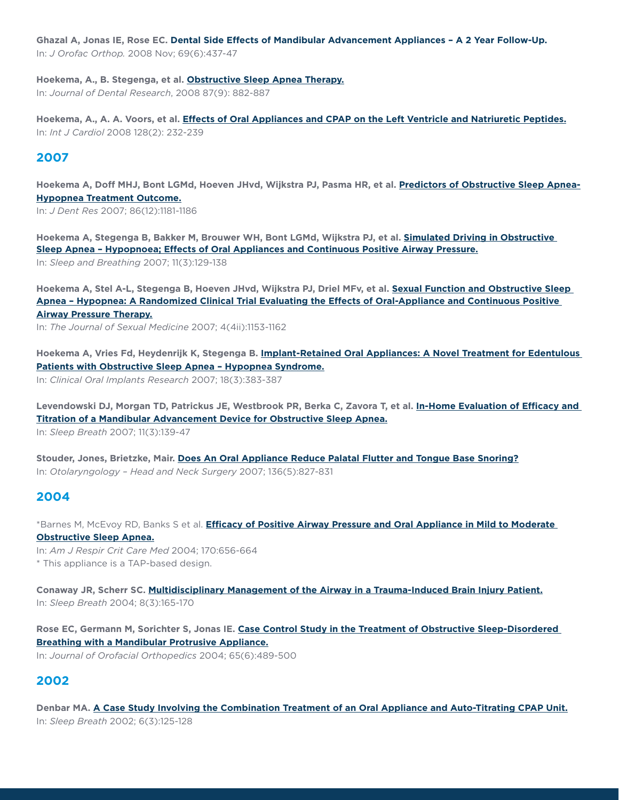**Ghazal A, Jonas IE, Rose EC. Dental Side Effects of Mandibular Advancement Appliances – A 2 Year Follow-Up.** 

In: *J Orofac Orthop.* 2008 Nov; 69(6):437-47

**Hoekema, A., B. Stegenga, et al. [Obstructive Sleep Apnea Therapy.](http://tapintosleep.com/wp-content/uploads/2016/03/2008-Hoekema-A..B-Stegenga-et-al-Obstructive-Sleep-Apnea-Therapy.pdf)** In: *Journal of Dental Research*, 2008 87(9): 882-887

**Hoekema, A., A. A. Voors, et al. [Effects of Oral Appliances and CPAP on the Left Ventricle and Natriuretic Peptides.](http://tapintosleep.com/wp-content/uploads/2016/03/2008b-effects-of-oral-appliances-and-CPAP-on-the-left-ventricle-and-natriuretic-peptides-.pdf)** In: *Int J Cardiol* 2008 128(2): 232-239

## **2007**

**Hoekema A, Doff MHJ, Bont LGMd, Hoeven JHvd, Wijkstra PJ, Pasma HR, et al. [Predictors of Obstructive Sleep Apnea-](http://tapintosleep.com/wp-content/uploads/2016/03/2007-Predictors-of-Obstructive-Sleep-Apnea-Hypopnea-Treatment-outcome-Hoekema-et-al.-.pdf)[Hypopnea Treatment Outcome.](http://tapintosleep.com/wp-content/uploads/2016/03/2007-Predictors-of-Obstructive-Sleep-Apnea-Hypopnea-Treatment-outcome-Hoekema-et-al.-.pdf)**

In: *J Dent Res* 2007; 86(12):1181-1186

**Hoekema A, Stegenga B, Bakker M, Brouwer WH, Bont LGMd, Wijkstra PJ, et al. [Simulated Driving in Obstructive](http://tapintosleep.com/wp-content/uploads/2016/03/2007-Hoekema-A-Stegenga-B-Bakker-M-Brouwer-WH-Bont-LGMd-Wijskstra-PJ-et-al-Simulated-driving-in-obstrutive-sleep-apnea-hypopnea-effects-of-oral-appliances-and-CPAP.pdf)  [Sleep Apnea – Hypopnoea; Effects of Oral Appliances and Continuous Positive Airway Pressure.](http://tapintosleep.com/wp-content/uploads/2016/03/2007-Hoekema-A-Stegenga-B-Bakker-M-Brouwer-WH-Bont-LGMd-Wijskstra-PJ-et-al-Simulated-driving-in-obstrutive-sleep-apnea-hypopnea-effects-of-oral-appliances-and-CPAP.pdf)** In: *Sleep and Breathing* 2007; 11(3):129-138

**Hoekema A, Stel A-L, Stegenga B, Hoeven JHvd, Wijkstra PJ, Driel MFv, et al. [Sexual Function and Obstructive Sleep](http://tapintosleep.com/wp-content/uploads/2016/03/2007-Sexual-Function-and-Obstructive-Sleep-Apneahypopnoea-effects-of-oral-appliances-and-CPAP-hoekema-A-et.-al.pdf)  [Apnea – Hypopnea: A Randomized Clinical Trial Evaluating the Effects of Oral-Appliance and Continuous Positive](http://tapintosleep.com/wp-content/uploads/2016/03/2007-Sexual-Function-and-Obstructive-Sleep-Apneahypopnoea-effects-of-oral-appliances-and-CPAP-hoekema-A-et.-al.pdf)  [Airway Pressure Therapy.](http://tapintosleep.com/wp-content/uploads/2016/03/2007-Sexual-Function-and-Obstructive-Sleep-Apneahypopnoea-effects-of-oral-appliances-and-CPAP-hoekema-A-et.-al.pdf)**

In: *The Journal of Sexual Medicine* 2007; 4(4ii):1153-1162

**Hoekema A, Vries Fd, Heydenrijk K, Stegenga B. [Implant-Retained Oral Appliances: A Novel Treatment for Edentulous](http://tapintosleep.com/wp-content/uploads/2016/03/2007-Implant-Retained-oral-appliances-a-novel-treatment-for-edentulous-patients-with-OSAHypopnea-Syndrome-Hoekema-et-al.pdf)  [Patients with Obstructive Sleep Apnea – Hypopnea Syndrome.](http://tapintosleep.com/wp-content/uploads/2016/03/2007-Implant-Retained-oral-appliances-a-novel-treatment-for-edentulous-patients-with-OSAHypopnea-Syndrome-Hoekema-et-al.pdf)**

In: *Clinical Oral Implants Research* 2007; 18(3):383-387

**Levendowski DJ, Morgan TD, Patrickus JE, Westbrook PR, Berka C, Zavora T, et al. [In-Home Evaluation of Efficacy and](http://tapintosleep.com/wp-content/uploads/2016/03/2007-In-home-evaluation-of-efficacy-and-titration-of-a-mandibular-advancement-device-for-OSA-levendowski-et-al-.pdf)  [Titration of a Mandibular Advancement Device for Obstructive Sleep Apnea.](http://tapintosleep.com/wp-content/uploads/2016/03/2007-In-home-evaluation-of-efficacy-and-titration-of-a-mandibular-advancement-device-for-OSA-levendowski-et-al-.pdf)** In: *Sleep Breath* 2007; 11(3):139-47

**Stouder, Jones, Brietzke, Mair. [Does An Oral Appliance Reduce Palatal Flutter and Tongue Base Snoring?](http://tapintosleep.com/wp-content/uploads/2016/03/2007-Does-an-oral-appliance-reduce-platal-flutter-and-tongue-base-snoring-Stouder-et-al-.pdf)** In: *Otolaryngology – Head and Neck Surgery* 2007; 136(5):827-831

### **2004**

\*Barnes M, McEvoy RD, Banks S et al. **[Efficacy of Positive Airway Pressure and Oral Appliance in Mild to Moderate](http://tapintosleep.com/wp-content/uploads/2016/03/2004-Efficacy-of-Positive-Airway-Pressure-and-Oral-Appliance-in-mild-to-moderate-OSA-Barnes-et-al-.pdf)  [Obstructive Sleep Apnea.](http://tapintosleep.com/wp-content/uploads/2016/03/2004-Efficacy-of-Positive-Airway-Pressure-and-Oral-Appliance-in-mild-to-moderate-OSA-Barnes-et-al-.pdf)**

In: *Am J Respir Crit Care Med* 2004; 170:656-664 \* This appliance is a TAP-based design.

**Conaway JR, Scherr SC. [Multidisciplinary Management of the Airway in a Trauma-Induced Brain Injury Patient.](http://tapintosleep.com/wp-content/uploads/2016/03/2004-Multidisciplinary-management-of-the-Airway-in-a-Trauma-Induced-Brain-Injury-patient-Conaway-et-al-.pdf)** In: *Sleep Breath* 2004; 8(3):165-170

**Rose EC, Germann M, Sorichter S, Jonas IE. [Case Control Study in the Treatment of Obstructive Sleep-Disordered](http://tapintosleep.com/wp-content/uploads/2016/03/2004-Case-Control-Study-in-the-Treatment-of-Obstructive-Sleep-Disoredered-Breathing-with-a-Mandibular-Protrusive-Appliance.-Rose-et-al-.pdf)  [Breathing with a Mandibular Protrusive Appliance.](http://tapintosleep.com/wp-content/uploads/2016/03/2004-Case-Control-Study-in-the-Treatment-of-Obstructive-Sleep-Disoredered-Breathing-with-a-Mandibular-Protrusive-Appliance.-Rose-et-al-.pdf)**

In: *Journal of Orofacial Orthopedics* 2004; 65(6):489-500

# **2002**

**Denbar MA. [A Case Study Involving the Combination Treatment of an Oral Appliance and Auto-Titrating CPAP Unit.](http://tapintosleep.com/wp-content/uploads/2016/03/2002-Prospective-Study-of-the-TAP-in-the-Mgmt-of-OSA-and-Snoring-Gershman.pdf)** In: *Sleep Breath* 2002; 6(3):125-128